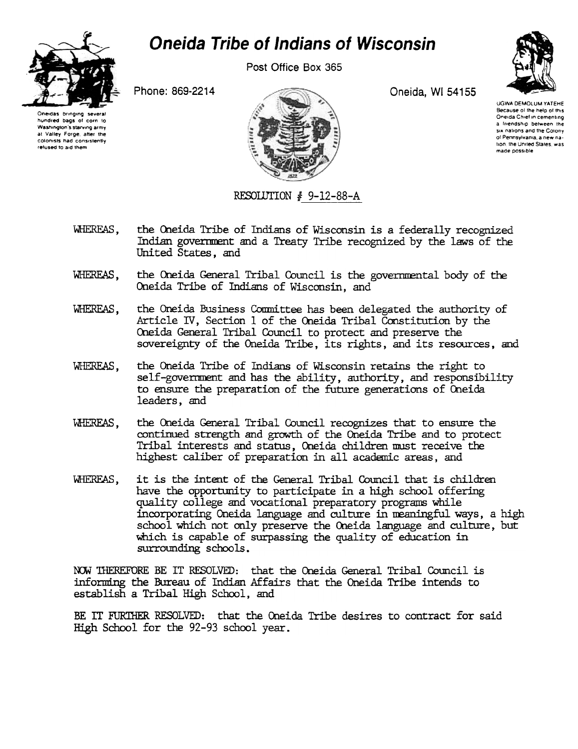

## **Oneida Tribe of Indians of Wisconsin**

Post Office Box 365

Phone: 869-2214



Oneida, WI 54155



UGWA DEMOLUM YATEHE Because of the help of this Oneida Chief in cementing a friendship between the six nations and the Colony of Pennsylvania, a new nation, the United States, was made possible

RESOLUTION # 9-12-88-A

- the Oneida Tribe of Indians of Wisconsin is a federally recognized WHEREAS. Indian government and a Treaty Tribe recognized by the laws of the United States, and
- WHEREAS. the Oneida General Tribal Council is the governmental body of the Oneida Tribe of Indians of Wisconsin, and
- the Oneida Business Committee has been delegated the authority of WHEREAS. Article IV, Section 1 of the Oneida Tribal Constitution by the Oneida General Tribal Council to protect and preserve the sovereignty of the Oneida Tribe, its rights, and its resources, and
- WHEREAS, the Oneida Tribe of Indians of Wisconsin retains the right to self-government and has the ability, authority, and responsibility to ensure the preparation of the future generations of Oneida leaders, and
- the Oneida General Tribal Council recognizes that to ensure the WHEREAS, continued strength and growth of the Oneida Tribe and to protect Tribal interests and status, Oneida children must receive the highest caliber of preparation in all academic areas, and
- it is the intent of the General Tribal Council that is children WHEREAS. have the opportunity to participate in a high school offering quality college and vocational preparatory programs while incorporating Oneida language and culture in meaningful ways, a high school which not only preserve the Oneida language and culture, but which is capable of surpassing the quality of education in surrounding schools.

NOW THEREFORE BE IT RESOLVED: that the Oneida General Tribal Council is informing the Bureau of Indian Affairs that the Oneida Tribe intends to establish a Tribal High School, and

BE IT FURTHER RESOLVED: that the Oneida Tribe desires to contract for said High School for the 92-93 school year.